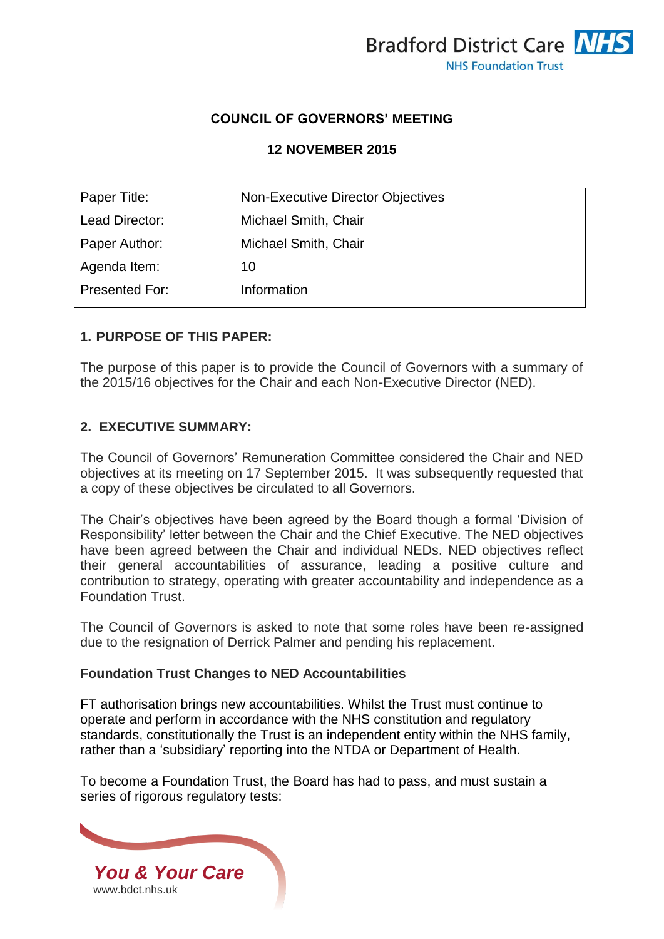

# **COUNCIL OF GOVERNORS' MEETING**

# **12 NOVEMBER 2015**

| Paper Title:   | Non-Executive Director Objectives |  |
|----------------|-----------------------------------|--|
| Lead Director: | Michael Smith, Chair              |  |
| Paper Author:  | Michael Smith, Chair              |  |
| Agenda Item:   | 10                                |  |
| Presented For: | Information                       |  |

# **1. PURPOSE OF THIS PAPER:**

The purpose of this paper is to provide the Council of Governors with a summary of the 2015/16 objectives for the Chair and each Non-Executive Director (NED).

#### **2. EXECUTIVE SUMMARY:**

The Council of Governors' Remuneration Committee considered the Chair and NED objectives at its meeting on 17 September 2015. It was subsequently requested that a copy of these objectives be circulated to all Governors.

The Chair's objectives have been agreed by the Board though a formal 'Division of Responsibility' letter between the Chair and the Chief Executive. The NED objectives have been agreed between the Chair and individual NEDs. NED objectives reflect their general accountabilities of assurance, leading a positive culture and contribution to strategy, operating with greater accountability and independence as a Foundation Trust.

The Council of Governors is asked to note that some roles have been re-assigned due to the resignation of Derrick Palmer and pending his replacement.

#### **Foundation Trust Changes to NED Accountabilities**

FT authorisation brings new accountabilities. Whilst the Trust must continue to operate and perform in accordance with the NHS constitution and regulatory standards, constitutionally the Trust is an independent entity within the NHS family, rather than a 'subsidiary' reporting into the NTDA or Department of Health.

To become a Foundation Trust, the Board has had to pass, and must sustain a series of rigorous regulatory tests:

*You & Your Care* [www.bdct.nhs.uk](http://www.bdct.nhs.uk/)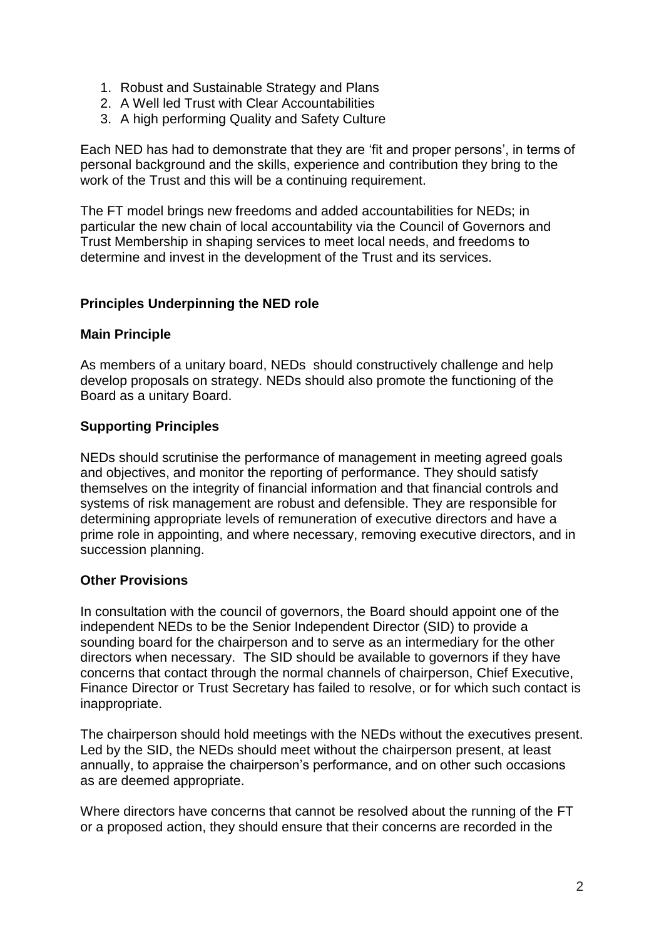- 1. Robust and Sustainable Strategy and Plans
- 2. A Well led Trust with Clear Accountabilities
- 3. A high performing Quality and Safety Culture

Each NED has had to demonstrate that they are 'fit and proper persons', in terms of personal background and the skills, experience and contribution they bring to the work of the Trust and this will be a continuing requirement.

The FT model brings new freedoms and added accountabilities for NEDs; in particular the new chain of local accountability via the Council of Governors and Trust Membership in shaping services to meet local needs, and freedoms to determine and invest in the development of the Trust and its services.

# **Principles Underpinning the NED role**

# **Main Principle**

As members of a unitary board, NEDs should constructively challenge and help develop proposals on strategy. NEDs should also promote the functioning of the Board as a unitary Board.

# **Supporting Principles**

NEDs should scrutinise the performance of management in meeting agreed goals and objectives, and monitor the reporting of performance. They should satisfy themselves on the integrity of financial information and that financial controls and systems of risk management are robust and defensible. They are responsible for determining appropriate levels of remuneration of executive directors and have a prime role in appointing, and where necessary, removing executive directors, and in succession planning.

# **Other Provisions**

In consultation with the council of governors, the Board should appoint one of the independent NEDs to be the Senior Independent Director (SID) to provide a sounding board for the chairperson and to serve as an intermediary for the other directors when necessary. The SID should be available to governors if they have concerns that contact through the normal channels of chairperson, Chief Executive, Finance Director or Trust Secretary has failed to resolve, or for which such contact is inappropriate.

The chairperson should hold meetings with the NEDs without the executives present. Led by the SID, the NEDs should meet without the chairperson present, at least annually, to appraise the chairperson's performance, and on other such occasions as are deemed appropriate.

Where directors have concerns that cannot be resolved about the running of the FT or a proposed action, they should ensure that their concerns are recorded in the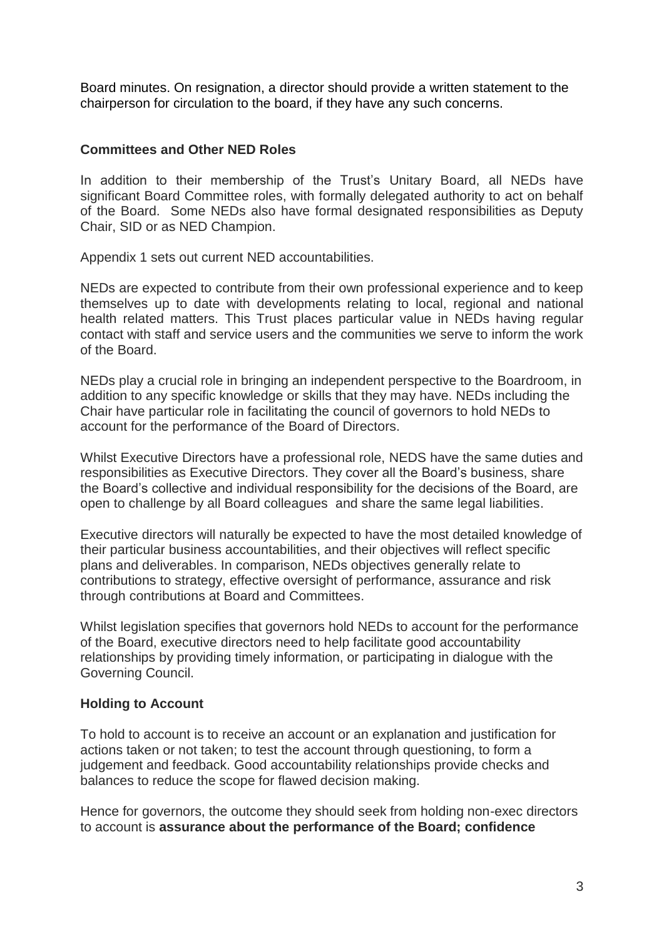Board minutes. On resignation, a director should provide a written statement to the chairperson for circulation to the board, if they have any such concerns.

# **Committees and Other NED Roles**

In addition to their membership of the Trust's Unitary Board, all NEDs have significant Board Committee roles, with formally delegated authority to act on behalf of the Board. Some NEDs also have formal designated responsibilities as Deputy Chair, SID or as NED Champion.

Appendix 1 sets out current NED accountabilities.

NEDs are expected to contribute from their own professional experience and to keep themselves up to date with developments relating to local, regional and national health related matters. This Trust places particular value in NEDs having regular contact with staff and service users and the communities we serve to inform the work of the Board.

NEDs play a crucial role in bringing an independent perspective to the Boardroom, in addition to any specific knowledge or skills that they may have. NEDs including the Chair have particular role in facilitating the council of governors to hold NEDs to account for the performance of the Board of Directors.

Whilst Executive Directors have a professional role, NEDS have the same duties and responsibilities as Executive Directors. They cover all the Board's business, share the Board's collective and individual responsibility for the decisions of the Board, are open to challenge by all Board colleagues and share the same legal liabilities.

Executive directors will naturally be expected to have the most detailed knowledge of their particular business accountabilities, and their objectives will reflect specific plans and deliverables. In comparison, NEDs objectives generally relate to contributions to strategy, effective oversight of performance, assurance and risk through contributions at Board and Committees.

Whilst legislation specifies that governors hold NEDs to account for the performance of the Board, executive directors need to help facilitate good accountability relationships by providing timely information, or participating in dialogue with the Governing Council.

# **Holding to Account**

To hold to account is to receive an account or an explanation and justification for actions taken or not taken; to test the account through questioning, to form a judgement and feedback. Good accountability relationships provide checks and balances to reduce the scope for flawed decision making.

Hence for governors, the outcome they should seek from holding non-exec directors to account is **assurance about the performance of the Board; confidence**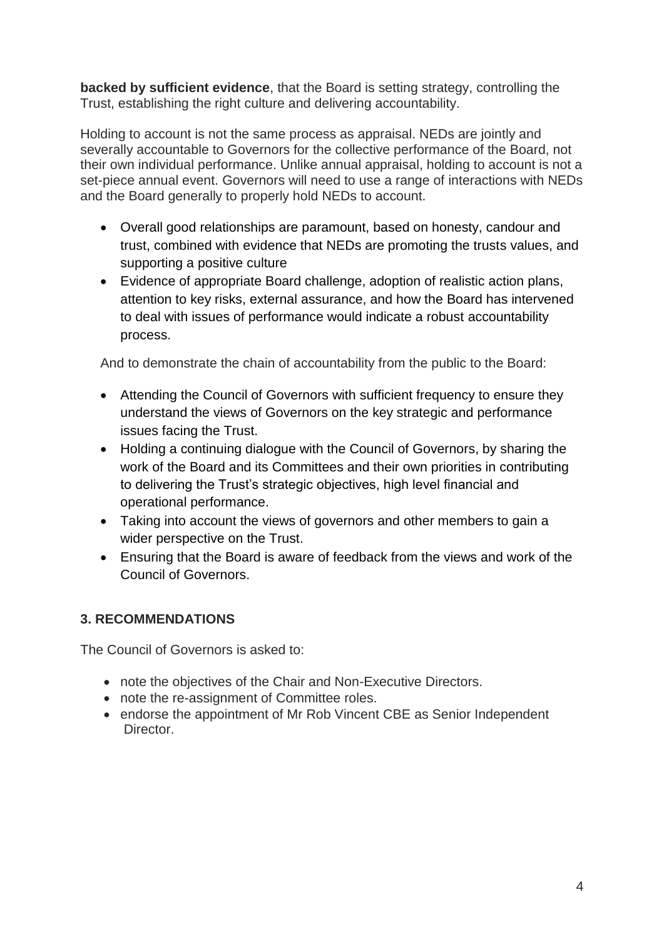**backed by sufficient evidence**, that the Board is setting strategy, controlling the Trust, establishing the right culture and delivering accountability.

Holding to account is not the same process as appraisal. NEDs are jointly and severally accountable to Governors for the collective performance of the Board, not their own individual performance. Unlike annual appraisal, holding to account is not a set-piece annual event. Governors will need to use a range of interactions with NEDs and the Board generally to properly hold NEDs to account.

- Overall good relationships are paramount, based on honesty, candour and trust, combined with evidence that NEDs are promoting the trusts values, and supporting a positive culture
- Evidence of appropriate Board challenge, adoption of realistic action plans, attention to key risks, external assurance, and how the Board has intervened to deal with issues of performance would indicate a robust accountability process.

And to demonstrate the chain of accountability from the public to the Board:

- Attending the Council of Governors with sufficient frequency to ensure they understand the views of Governors on the key strategic and performance issues facing the Trust.
- Holding a continuing dialogue with the Council of Governors, by sharing the work of the Board and its Committees and their own priorities in contributing to delivering the Trust's strategic objectives, high level financial and operational performance.
- Taking into account the views of governors and other members to gain a wider perspective on the Trust.
- Ensuring that the Board is aware of feedback from the views and work of the Council of Governors.

# **3. RECOMMENDATIONS**

The Council of Governors is asked to:

- note the objectives of the Chair and Non-Executive Directors.
- note the re-assignment of Committee roles.
- endorse the appointment of Mr Rob Vincent CBE as Senior Independent Director.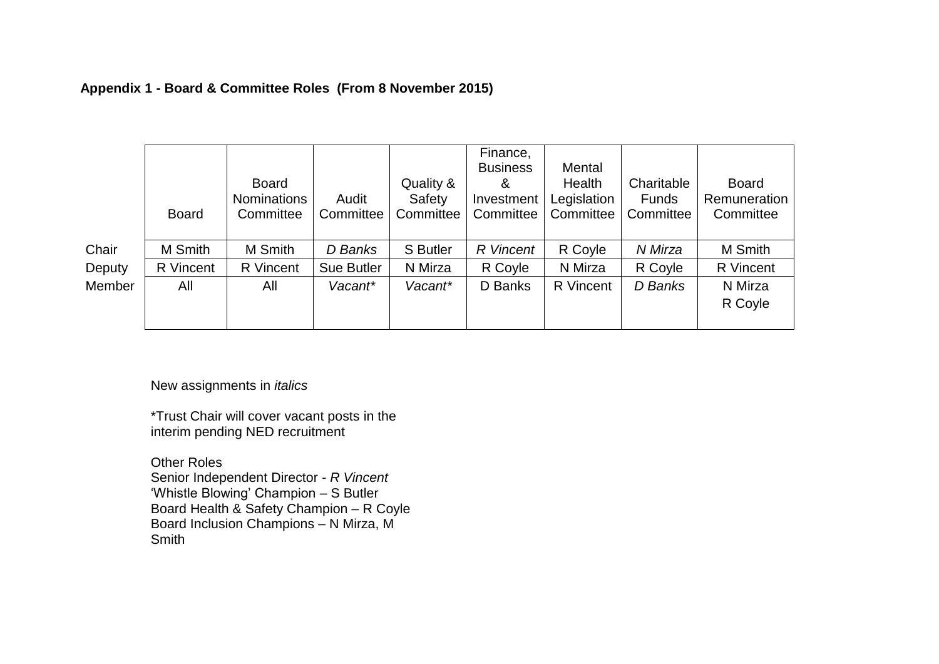# **Appendix 1 - Board & Committee Roles (From 8 November 2015)**

|        | <b>Board</b> | <b>Board</b><br><b>Nominations</b><br>Committee | Audit<br>Committee | Quality &<br>Safety<br>Committee | Finance,<br><b>Business</b><br>&<br>Investment<br>Committee | Mental<br>Health<br>Legislation<br>Committee | Charitable<br><b>Funds</b><br>Committee | <b>Board</b><br>Remuneration<br>Committee |
|--------|--------------|-------------------------------------------------|--------------------|----------------------------------|-------------------------------------------------------------|----------------------------------------------|-----------------------------------------|-------------------------------------------|
| Chair  | M Smith      | M Smith                                         | D Banks            | S Butler                         | R Vincent                                                   | R Coyle                                      | N Mirza                                 | M Smith                                   |
| Deputy | R Vincent    | R Vincent                                       | <b>Sue Butler</b>  | N Mirza                          | R Coyle                                                     | N Mirza                                      | R Coyle                                 | R Vincent                                 |
| Member | All          | All                                             | Vacant*            | Vacant*                          | D Banks                                                     | R Vincent                                    | D Banks                                 | N Mirza                                   |
|        |              |                                                 |                    |                                  |                                                             |                                              |                                         | R Coyle                                   |
|        |              |                                                 |                    |                                  |                                                             |                                              |                                         |                                           |

New assignments in *italics*

\*Trust Chair will cover vacant posts in the interim pending NED recruitment

Other Roles Senior Independent Director - *R Vincent* 'Whistle Blowing' Champion – S Butler Board Health & Safety Champion – R Coyle Board Inclusion Champions – N Mirza, M **Smith**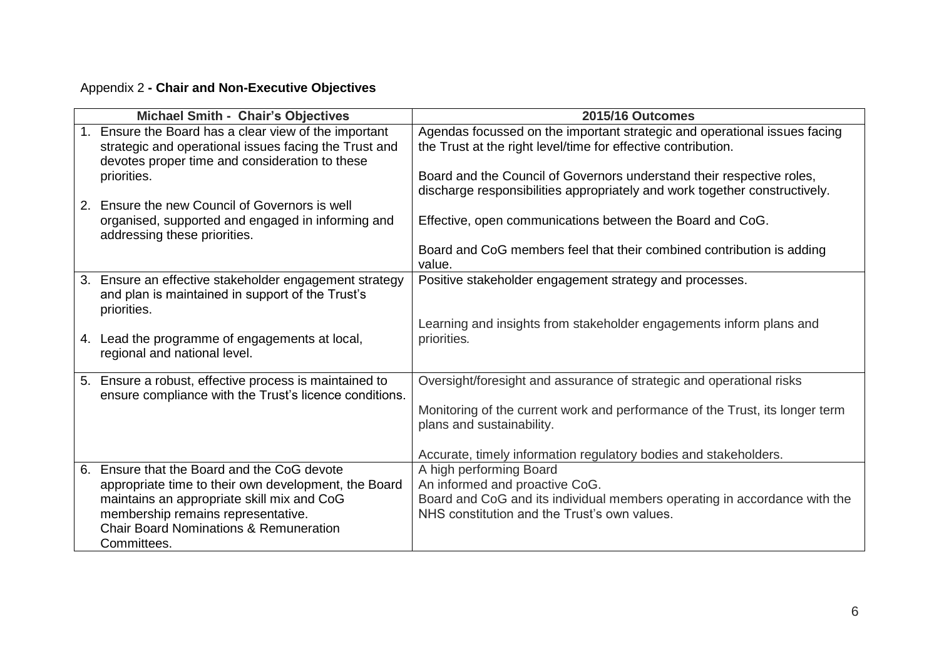# Appendix 2 **- Chair and Non-Executive Objectives**

|                | Michael Smith - Chair's Objectives                                                                                                                            | 2015/16 Outcomes                                                                                                                           |
|----------------|---------------------------------------------------------------------------------------------------------------------------------------------------------------|--------------------------------------------------------------------------------------------------------------------------------------------|
| 1.             | Ensure the Board has a clear view of the important<br>strategic and operational issues facing the Trust and<br>devotes proper time and consideration to these | Agendas focussed on the important strategic and operational issues facing<br>the Trust at the right level/time for effective contribution. |
|                | priorities.                                                                                                                                                   | Board and the Council of Governors understand their respective roles,                                                                      |
| 2 <sub>1</sub> | Ensure the new Council of Governors is well                                                                                                                   | discharge responsibilities appropriately and work together constructively.                                                                 |
|                | organised, supported and engaged in informing and<br>addressing these priorities.                                                                             | Effective, open communications between the Board and CoG.                                                                                  |
|                |                                                                                                                                                               | Board and CoG members feel that their combined contribution is adding<br>value.                                                            |
| 3.             | Ensure an effective stakeholder engagement strategy<br>and plan is maintained in support of the Trust's<br>priorities.                                        | Positive stakeholder engagement strategy and processes.                                                                                    |
|                | 4. Lead the programme of engagements at local,<br>regional and national level.                                                                                | Learning and insights from stakeholder engagements inform plans and<br>priorities.                                                         |
|                | 5. Ensure a robust, effective process is maintained to<br>ensure compliance with the Trust's licence conditions.                                              | Oversight/foresight and assurance of strategic and operational risks                                                                       |
|                |                                                                                                                                                               | Monitoring of the current work and performance of the Trust, its longer term<br>plans and sustainability.                                  |
|                |                                                                                                                                                               | Accurate, timely information regulatory bodies and stakeholders.                                                                           |
| 6.             | Ensure that the Board and the CoG devote                                                                                                                      | A high performing Board                                                                                                                    |
|                | appropriate time to their own development, the Board                                                                                                          | An informed and proactive CoG.                                                                                                             |
|                | maintains an appropriate skill mix and CoG<br>membership remains representative.                                                                              | Board and CoG and its individual members operating in accordance with the<br>NHS constitution and the Trust's own values.                  |
|                | <b>Chair Board Nominations &amp; Remuneration</b>                                                                                                             |                                                                                                                                            |
|                | Committees.                                                                                                                                                   |                                                                                                                                            |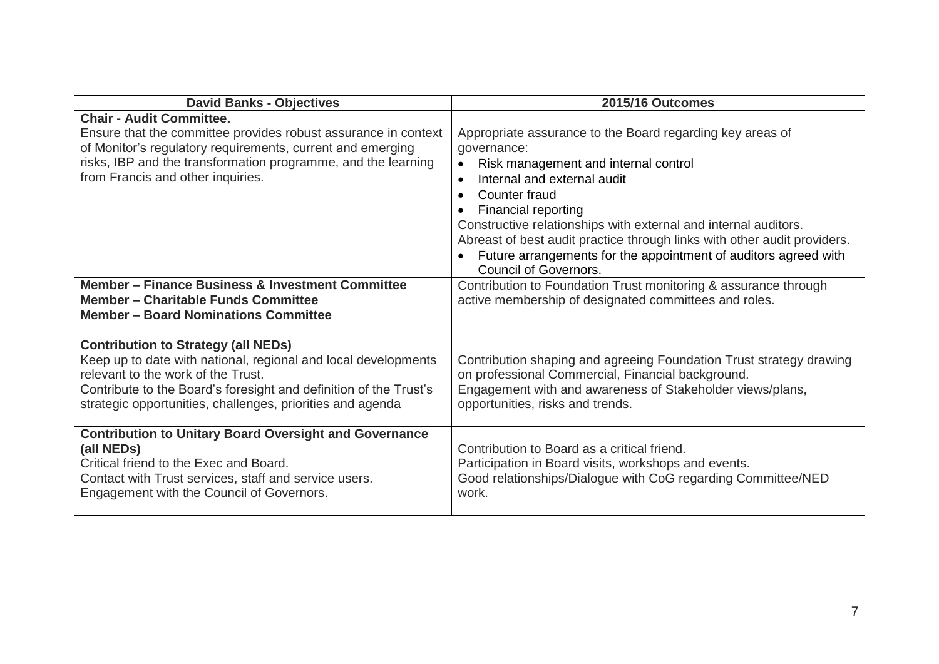| <b>David Banks - Objectives</b>                                                                                                                                                                                                                                                       | <b>2015/16 Outcomes</b>                                                                                                                                                                                                                                                                                                                                                                                                                                                                 |
|---------------------------------------------------------------------------------------------------------------------------------------------------------------------------------------------------------------------------------------------------------------------------------------|-----------------------------------------------------------------------------------------------------------------------------------------------------------------------------------------------------------------------------------------------------------------------------------------------------------------------------------------------------------------------------------------------------------------------------------------------------------------------------------------|
| <b>Chair - Audit Committee.</b><br>Ensure that the committee provides robust assurance in context<br>of Monitor's regulatory requirements, current and emerging<br>risks, IBP and the transformation programme, and the learning<br>from Francis and other inquiries.                 | Appropriate assurance to the Board regarding key areas of<br>governance:<br>Risk management and internal control<br>$\bullet$<br>Internal and external audit<br>$\bullet$<br>Counter fraud<br>$\bullet$<br><b>Financial reporting</b><br>Constructive relationships with external and internal auditors.<br>Abreast of best audit practice through links with other audit providers.<br>Future arrangements for the appointment of auditors agreed with<br><b>Council of Governors.</b> |
| <b>Member – Finance Business &amp; Investment Committee</b><br><b>Member - Charitable Funds Committee</b><br><b>Member - Board Nominations Committee</b>                                                                                                                              | Contribution to Foundation Trust monitoring & assurance through<br>active membership of designated committees and roles.                                                                                                                                                                                                                                                                                                                                                                |
| <b>Contribution to Strategy (all NEDs)</b><br>Keep up to date with national, regional and local developments<br>relevant to the work of the Trust.<br>Contribute to the Board's foresight and definition of the Trust's<br>strategic opportunities, challenges, priorities and agenda | Contribution shaping and agreeing Foundation Trust strategy drawing<br>on professional Commercial, Financial background.<br>Engagement with and awareness of Stakeholder views/plans,<br>opportunities, risks and trends.                                                                                                                                                                                                                                                               |
| <b>Contribution to Unitary Board Oversight and Governance</b><br>(all NEDs)<br>Critical friend to the Exec and Board.<br>Contact with Trust services, staff and service users.<br>Engagement with the Council of Governors.                                                           | Contribution to Board as a critical friend.<br>Participation in Board visits, workshops and events.<br>Good relationships/Dialogue with CoG regarding Committee/NED<br>work.                                                                                                                                                                                                                                                                                                            |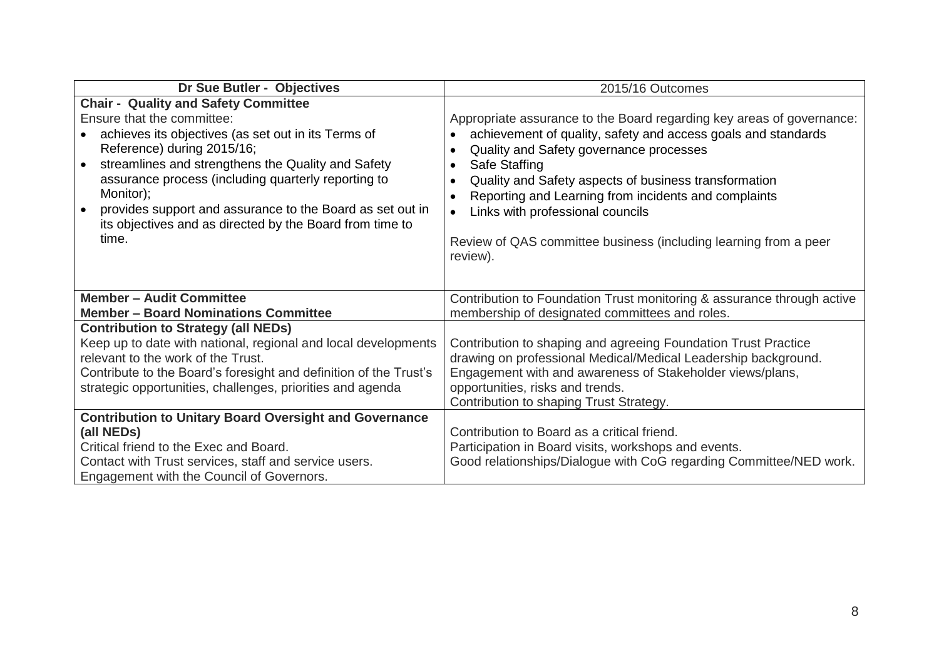| Dr Sue Butler - Objectives                                                                                                                                                                                                                                                                                                                                                                                                                           | 2015/16 Outcomes                                                                                                                                                                                                                                                                                                                                                                                                                                                  |
|------------------------------------------------------------------------------------------------------------------------------------------------------------------------------------------------------------------------------------------------------------------------------------------------------------------------------------------------------------------------------------------------------------------------------------------------------|-------------------------------------------------------------------------------------------------------------------------------------------------------------------------------------------------------------------------------------------------------------------------------------------------------------------------------------------------------------------------------------------------------------------------------------------------------------------|
| <b>Chair - Quality and Safety Committee</b><br>Ensure that the committee:<br>achieves its objectives (as set out in its Terms of<br>Reference) during 2015/16;<br>streamlines and strengthens the Quality and Safety<br>$\bullet$<br>assurance process (including quarterly reporting to<br>Monitor);<br>provides support and assurance to the Board as set out in<br>$\bullet$<br>its objectives and as directed by the Board from time to<br>time. | Appropriate assurance to the Board regarding key areas of governance:<br>achievement of quality, safety and access goals and standards<br>Quality and Safety governance processes<br>Safe Staffing<br>$\bullet$<br>Quality and Safety aspects of business transformation<br>Reporting and Learning from incidents and complaints<br>Links with professional councils<br>$\bullet$<br>Review of QAS committee business (including learning from a peer<br>review). |
| <b>Member - Audit Committee</b><br><b>Member - Board Nominations Committee</b>                                                                                                                                                                                                                                                                                                                                                                       | Contribution to Foundation Trust monitoring & assurance through active<br>membership of designated committees and roles.                                                                                                                                                                                                                                                                                                                                          |
| <b>Contribution to Strategy (all NEDs)</b><br>Keep up to date with national, regional and local developments<br>relevant to the work of the Trust.<br>Contribute to the Board's foresight and definition of the Trust's<br>strategic opportunities, challenges, priorities and agenda                                                                                                                                                                | Contribution to shaping and agreeing Foundation Trust Practice<br>drawing on professional Medical/Medical Leadership background.<br>Engagement with and awareness of Stakeholder views/plans,<br>opportunities, risks and trends.<br>Contribution to shaping Trust Strategy.                                                                                                                                                                                      |
| <b>Contribution to Unitary Board Oversight and Governance</b><br>(all NEDs)<br>Critical friend to the Exec and Board.<br>Contact with Trust services, staff and service users.<br>Engagement with the Council of Governors.                                                                                                                                                                                                                          | Contribution to Board as a critical friend.<br>Participation in Board visits, workshops and events.<br>Good relationships/Dialogue with CoG regarding Committee/NED work.                                                                                                                                                                                                                                                                                         |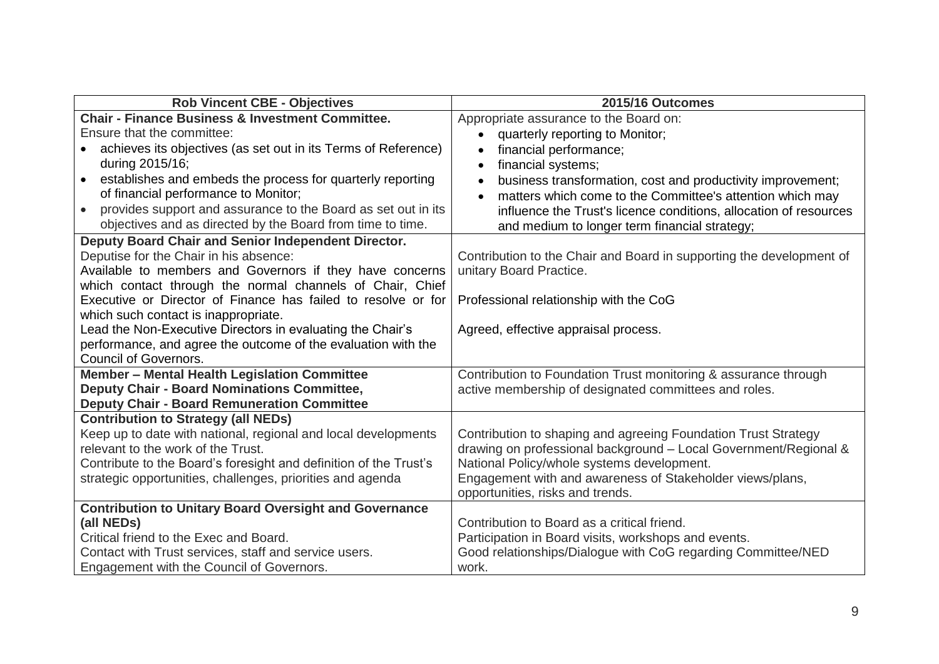| <b>Rob Vincent CBE - Objectives</b>                                        | 2015/16 Outcomes                                                         |
|----------------------------------------------------------------------------|--------------------------------------------------------------------------|
| <b>Chair - Finance Business &amp; Investment Committee.</b>                | Appropriate assurance to the Board on:                                   |
| Ensure that the committee:                                                 | quarterly reporting to Monitor;<br>$\bullet$                             |
| achieves its objectives (as set out in its Terms of Reference)             | financial performance;<br>$\bullet$                                      |
| during 2015/16;                                                            | financial systems;<br>$\bullet$                                          |
| establishes and embeds the process for quarterly reporting<br>$\bullet$    | business transformation, cost and productivity improvement;<br>$\bullet$ |
| of financial performance to Monitor;                                       | matters which come to the Committee's attention which may                |
| provides support and assurance to the Board as set out in its<br>$\bullet$ | influence the Trust's licence conditions, allocation of resources        |
| objectives and as directed by the Board from time to time.                 | and medium to longer term financial strategy;                            |
| Deputy Board Chair and Senior Independent Director.                        |                                                                          |
| Deputise for the Chair in his absence:                                     | Contribution to the Chair and Board in supporting the development of     |
| Available to members and Governors if they have concerns                   | unitary Board Practice.                                                  |
| which contact through the normal channels of Chair, Chief                  |                                                                          |
| Executive or Director of Finance has failed to resolve or for              | Professional relationship with the CoG                                   |
| which such contact is inappropriate.                                       |                                                                          |
| Lead the Non-Executive Directors in evaluating the Chair's                 | Agreed, effective appraisal process.                                     |
| performance, and agree the outcome of the evaluation with the              |                                                                          |
| <b>Council of Governors.</b>                                               |                                                                          |
| Member - Mental Health Legislation Committee                               | Contribution to Foundation Trust monitoring & assurance through          |
| <b>Deputy Chair - Board Nominations Committee,</b>                         | active membership of designated committees and roles.                    |
| <b>Deputy Chair - Board Remuneration Committee</b>                         |                                                                          |
| <b>Contribution to Strategy (all NEDs)</b>                                 |                                                                          |
| Keep up to date with national, regional and local developments             | Contribution to shaping and agreeing Foundation Trust Strategy           |
| relevant to the work of the Trust.                                         | drawing on professional background - Local Government/Regional &         |
| Contribute to the Board's foresight and definition of the Trust's          | National Policy/whole systems development.                               |
| strategic opportunities, challenges, priorities and agenda                 | Engagement with and awareness of Stakeholder views/plans,                |
|                                                                            | opportunities, risks and trends.                                         |
| <b>Contribution to Unitary Board Oversight and Governance</b>              |                                                                          |
| (all NEDs)                                                                 | Contribution to Board as a critical friend.                              |
| Critical friend to the Exec and Board.                                     | Participation in Board visits, workshops and events.                     |
| Contact with Trust services, staff and service users.                      | Good relationships/Dialogue with CoG regarding Committee/NED             |
| Engagement with the Council of Governors.                                  | work.                                                                    |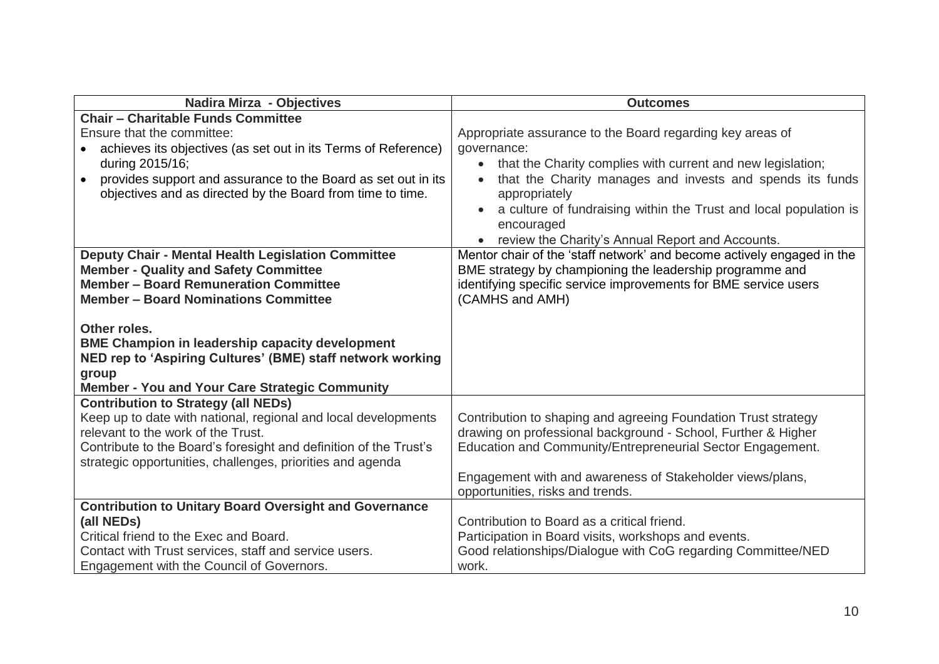| Nadira Mirza - Objectives                                                                    | <b>Outcomes</b>                                                          |
|----------------------------------------------------------------------------------------------|--------------------------------------------------------------------------|
| <b>Chair - Charitable Funds Committee</b>                                                    |                                                                          |
| Ensure that the committee:                                                                   | Appropriate assurance to the Board regarding key areas of                |
| achieves its objectives (as set out in its Terms of Reference)                               | governance:                                                              |
| during 2015/16;                                                                              | that the Charity complies with current and new legislation;<br>$\bullet$ |
| provides support and assurance to the Board as set out in its<br>$\bullet$                   | that the Charity manages and invests and spends its funds                |
| objectives and as directed by the Board from time to time.                                   | appropriately                                                            |
|                                                                                              | a culture of fundraising within the Trust and local population is        |
|                                                                                              | encouraged                                                               |
|                                                                                              | • review the Charity's Annual Report and Accounts.                       |
| <b>Deputy Chair - Mental Health Legislation Committee</b>                                    | Mentor chair of the 'staff network' and become actively engaged in the   |
| <b>Member - Quality and Safety Committee</b>                                                 | BME strategy by championing the leadership programme and                 |
| <b>Member - Board Remuneration Committee</b>                                                 | identifying specific service improvements for BME service users          |
| <b>Member - Board Nominations Committee</b>                                                  | (CAMHS and AMH)                                                          |
|                                                                                              |                                                                          |
| Other roles.                                                                                 |                                                                          |
| <b>BME Champion in leadership capacity development</b>                                       |                                                                          |
| NED rep to 'Aspiring Cultures' (BME) staff network working                                   |                                                                          |
| group                                                                                        |                                                                          |
| Member - You and Your Care Strategic Community<br><b>Contribution to Strategy (all NEDs)</b> |                                                                          |
| Keep up to date with national, regional and local developments                               | Contribution to shaping and agreeing Foundation Trust strategy           |
| relevant to the work of the Trust.                                                           | drawing on professional background - School, Further & Higher            |
| Contribute to the Board's foresight and definition of the Trust's                            | Education and Community/Entrepreneurial Sector Engagement.               |
| strategic opportunities, challenges, priorities and agenda                                   |                                                                          |
|                                                                                              | Engagement with and awareness of Stakeholder views/plans,                |
|                                                                                              | opportunities, risks and trends.                                         |
| <b>Contribution to Unitary Board Oversight and Governance</b>                                |                                                                          |
| (all NEDs)                                                                                   | Contribution to Board as a critical friend.                              |
| Critical friend to the Exec and Board.                                                       | Participation in Board visits, workshops and events.                     |
| Contact with Trust services, staff and service users.                                        | Good relationships/Dialogue with CoG regarding Committee/NED             |
| Engagement with the Council of Governors.                                                    | work.                                                                    |